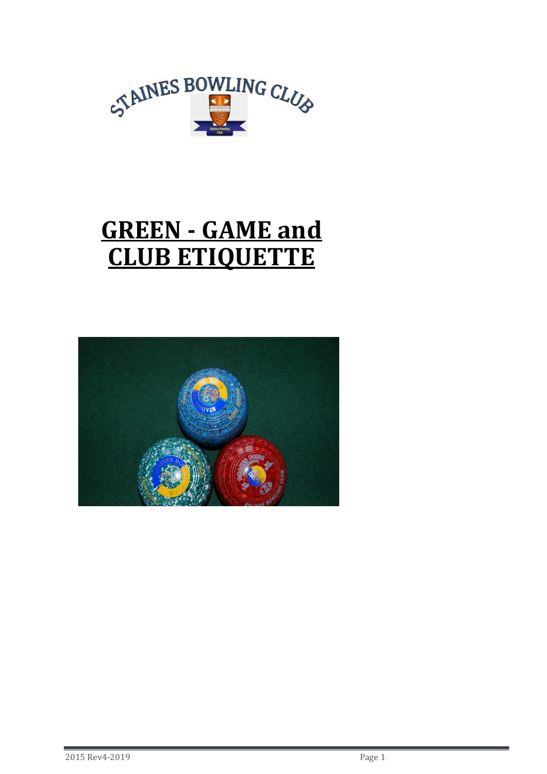

# GREEN - GAME and CLUB ETIQUETTE

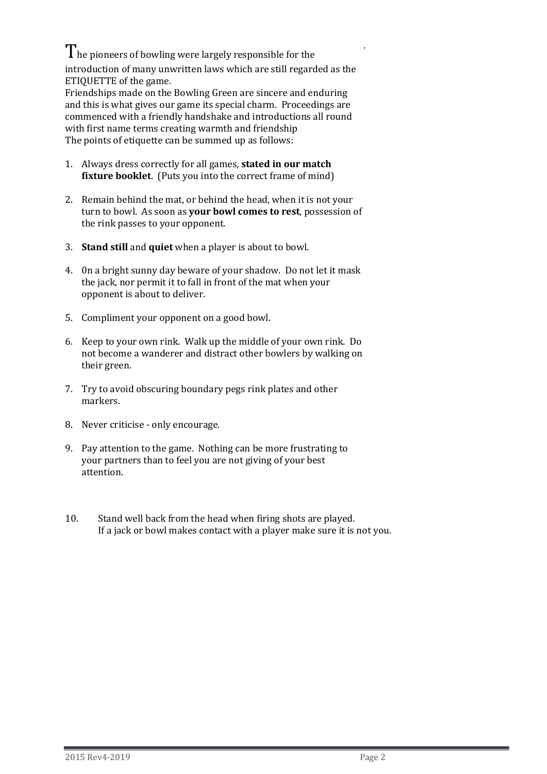$\rm T$ he pioneers of bowling were largely responsible for the introduction of many unwritten laws which are still regarded as the ETIQUETTE of the game.

Friendships made on the Bowling Green are sincere and enduring and this is what gives our game its special charm. Proceedings are commenced with a friendly handshake and introductions all round with first name terms creating warmth and friendship The points of etiquette can be summed up as follows:

- 1. Always dress correctly for all games, stated in our match fixture booklet. (Puts you into the correct frame of mind)
- 2. Remain behind the mat, or behind the head, when it is not your turn to bowl. As soon as your bowl comes to rest, possession of the rink passes to your opponent.
- 3. Stand still and quiet when a player is about to bowl.
- 4. 0n a bright sunny day beware of your shadow. Do not let it mask the jack, nor permit it to fall in front of the mat when your opponent is about to deliver.
- 5. Compliment your opponent on a good bowl.
- 6. Keep to your own rink. Walk up the middle of your own rink. Do not become a wanderer and distract other bowlers by walking on their green.
- 7. Try to avoid obscuring boundary pegs rink plates and other markers.
- 8. Never criticise only encourage.
- 9. Pay attention to the game. Nothing can be more frustrating to your partners than to feel you are not giving of your best attention.
- 10. Stand well back from the head when firing shots are played. If a jack or bowl makes contact with a player make sure it is not you.

.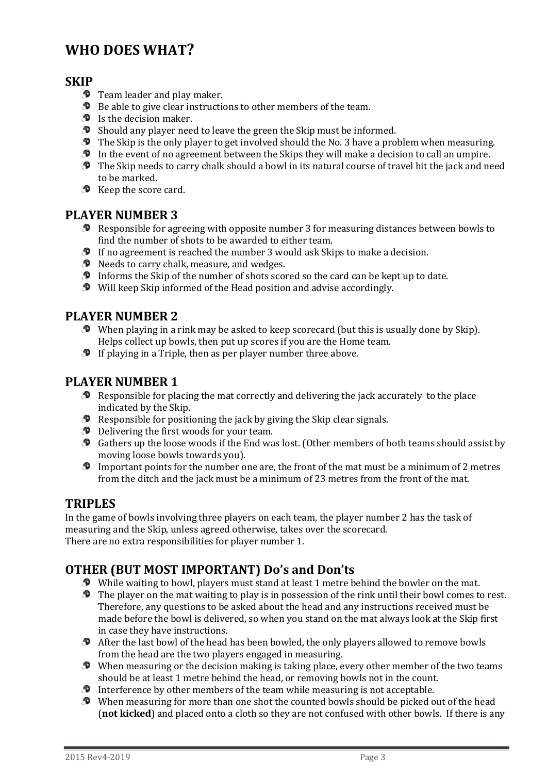# WHO DOES WHAT?

## **SKIP**

- $\bullet$  Team leader and play maker.
- **D** Be able to give clear instructions to other members of the team.
- $\bullet$  Is the decision maker.
- Should any player need to leave the green the Skip must be informed.
- $\bullet$  The Skip is the only player to get involved should the No. 3 have a problem when measuring.
- In the event of no agreement between the Skips they will make a decision to call an umpire.
- The Skip needs to carry chalk should a bowl in its natural course of travel hit the jack and need to be marked.
- $\bullet$  Keep the score card.

## PLAYER NUMBER 3

- Responsible for agreeing with opposite number 3 for measuring distances between bowls to find the number of shots to be awarded to either team.
- If no agreement is reached the number 3 would ask Skips to make a decision.
- $\bullet$  Needs to carry chalk, measure, and wedges.
- Informs the Skip of the number of shots scored so the card can be kept up to date.
- Will keep Skip informed of the Head position and advise accordingly.

## PLAYER NUMBER 2

- When playing in a rink may be asked to keep scorecard (but this is usually done by Skip). Helps collect up bowls, then put up scores if you are the Home team.
- $\bullet$  If playing in a Triple, then as per player number three above.

# PLAYER NUMBER 1

- Responsible for placing the mat correctly and delivering the jack accurately to the place indicated by the Skip.
- $\bullet$  Responsible for positioning the jack by giving the Skip clear signals.
- **D** Delivering the first woods for your team.
- Gathers up the loose woods if the End was lost. (Other members of both teams should assist by moving loose bowls towards you).
- Important points for the number one are, the front of the mat must be a minimum of 2 metres from the ditch and the jack must be a minimum of 23 metres from the front of the mat.

### TRIPLES

In the game of bowls involving three players on each team, the player number 2 has the task of measuring and the Skip, unless agreed otherwise, takes over the scorecard. There are no extra responsibilities for player number 1.

# OTHER (BUT MOST IMPORTANT) Do's and Don'ts

- While waiting to bowl, players must stand at least 1 metre behind the bowler on the mat.
- $\bullet$  The player on the mat waiting to play is in possession of the rink until their bowl comes to rest. Therefore, any questions to be asked about the head and any instructions received must be made before the bowl is delivered, so when you stand on the mat always look at the Skip first in case they have instructions.
- After the last bowl of the head has been bowled, the only players allowed to remove bowls from the head are the two players engaged in measuring.
- $\bullet$  When measuring or the decision making is taking place, every other member of the two teams should be at least 1 metre behind the head, or removing bowls not in the count.
- $\bullet$  Interference by other members of the team while measuring is not acceptable.
- When measuring for more than one shot the counted bowls should be picked out of the head (not kicked) and placed onto a cloth so they are not confused with other bowls. If there is any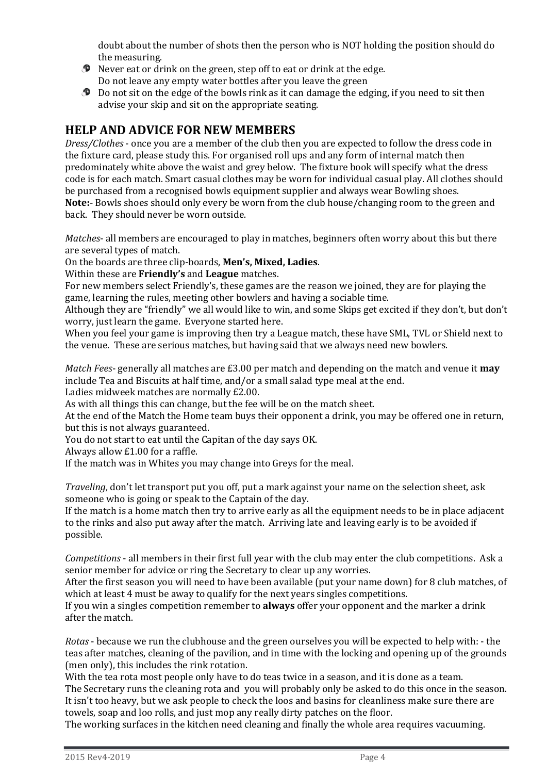doubt about the number of shots then the person who is NOT holding the position should do the measuring.

- $\bullet$  Never eat or drink on the green, step off to eat or drink at the edge. Do not leave any empty water bottles after you leave the green
- **D** Do not sit on the edge of the bowls rink as it can damage the edging, if you need to sit then advise your skip and sit on the appropriate seating.

# HELP AND ADVICE FOR NEW MEMBERS

Dress/Clothes - once you are a member of the club then you are expected to follow the dress code in the fixture card, please study this. For organised roll ups and any form of internal match then predominately white above the waist and grey below. The fixture book will specify what the dress code is for each match. Smart casual clothes may be worn for individual casual play. All clothes should be purchased from a recognised bowls equipment supplier and always wear Bowling shoes. Note:- Bowls shoes should only every be worn from the club house/changing room to the green and back. They should never be worn outside.

Matches- all members are encouraged to play in matches, beginners often worry about this but there are several types of match.

On the boards are three clip-boards, Men's, Mixed, Ladies.

Within these are **Friendly's** and **League** matches.

For new members select Friendly's, these games are the reason we joined, they are for playing the game, learning the rules, meeting other bowlers and having a sociable time.

Although they are "friendly" we all would like to win, and some Skips get excited if they don't, but don't worry, just learn the game. Everyone started here.

When you feel your game is improving then try a League match, these have SML, TVL or Shield next to the venue. These are serious matches, but having said that we always need new bowlers.

*Match Fees-* generally all matches are £3.00 per match and depending on the match and venue it **may** include Tea and Biscuits at half time, and/or a small salad type meal at the end.

Ladies midweek matches are normally £2.00.

As with all things this can change, but the fee will be on the match sheet.

At the end of the Match the Home team buys their opponent a drink, you may be offered one in return, but this is not always guaranteed.

You do not start to eat until the Capitan of the day says OK.

Always allow £1.00 for a raffle.

If the match was in Whites you may change into Greys for the meal.

Traveling, don't let transport put you off, put a mark against your name on the selection sheet, ask someone who is going or speak to the Captain of the day.

If the match is a home match then try to arrive early as all the equipment needs to be in place adjacent to the rinks and also put away after the match. Arriving late and leaving early is to be avoided if possible.

Competitions - all members in their first full year with the club may enter the club competitions. Ask a senior member for advice or ring the Secretary to clear up any worries.

After the first season you will need to have been available (put your name down) for 8 club matches, of which at least 4 must be away to qualify for the next years singles competitions.

If you win a singles competition remember to **always** offer your opponent and the marker a drink after the match.

Rotas - because we run the clubhouse and the green ourselves you will be expected to help with: - the teas after matches, cleaning of the pavilion, and in time with the locking and opening up of the grounds (men only), this includes the rink rotation.

With the tea rota most people only have to do teas twice in a season, and it is done as a team. The Secretary runs the cleaning rota and you will probably only be asked to do this once in the season. It isn't too heavy, but we ask people to check the loos and basins for cleanliness make sure there are towels, soap and loo rolls, and just mop any really dirty patches on the floor.

The working surfaces in the kitchen need cleaning and finally the whole area requires vacuuming.